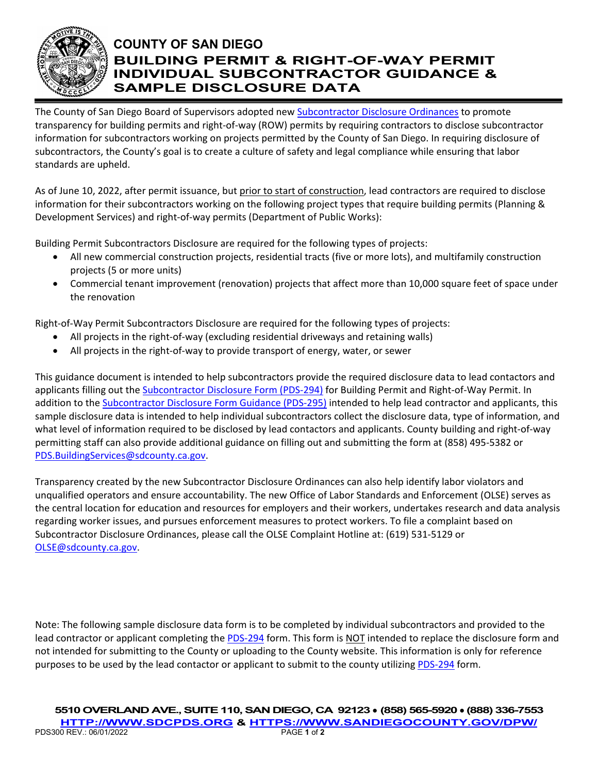

## **COUNTY OF SAN DIEGO BUILDING PERMIT & RIGHT-OF-WAY PERMIT INDIVIDUAL SUBCONTRACTOR GUIDANCE & SAMPLE DISCLOSURE DATA**

The County of San Diego Board of Supervisors adopted new [Subcontractor Disclosure Ordinances](https://codelibrary.amlegal.com/codes/san_diego/latest/sandiego_regs/0-0-0-71708) to promote transparency for building permits and right-of-way (ROW) permits by requiring contractors to disclose subcontractor information for subcontractors working on projects permitted by the County of San Diego. In requiring disclosure of subcontractors, the County's goal is to create a culture of safety and legal compliance while ensuring that labor standards are upheld.

As of June 10, 2022, after permit issuance, but prior to start of construction, lead contractors are required to disclose information for their subcontractors working on the following project types that require building permits (Planning & Development Services) and right-of-way permits (Department of Public Works):

Building Permit Subcontractors Disclosure are required for the following types of projects:

- All new commercial construction projects, residential tracts (five or more lots), and multifamily construction projects (5 or more units)
- Commercial tenant improvement (renovation) projects that affect more than 10,000 square feet of space under the renovation

Right-of-Way Permit Subcontractors Disclosure are required for the following types of projects:

- All projects in the right-of-way (excluding residential driveways and retaining walls)
- All projects in the right-of-way to provide transport of energy, water, or sewer

This guidance document is intended to help subcontractors provide the required disclosure data to lead contactors and applicants filling out the [Subcontractor Disclosure Form \(PDS-294\)](file://ustlsncsd0004/LUEG/DPLU/Building%20Common/Forms/pds294%20Subcontractor%20Disclosure.pdf) for Building Permit and Right-of-Way Permit. In addition to the **Subcontractor Disclosure Form Guidance (PDS-295)** intended to help lead contractor and applicants, this sample disclosure data is intended to help individual subcontractors collect the disclosure data, type of information, and what level of information required to be disclosed by lead contactors and applicants. County building and right-of-way permitting staff can also provide additional guidance on filling out and submitting the form at (858) 495-5382 or [PDS.BuildingServices@sdcounty.ca.gov.](mailto:PDS.BuildingServices@sdcounty.ca.gov)

Transparency created by the new Subcontractor Disclosure Ordinances can also help identify labor violators and unqualified operators and ensure accountability. The new Office of Labor Standards and Enforcement (OLSE) serves as the central location for education and resources for employers and their workers, undertakes research and data analysis regarding worker issues, and pursues enforcement measures to protect workers. To file a complaint based on Subcontractor Disclosure Ordinances, please call the OLSE Complaint Hotline at: (619) 531-5129 or [OLSE@sdcounty.ca.gov.](mailto:OLSE@sdcounty.ca.gov)

Note: The following sample disclosure data form is to be completed by individual subcontractors and provided to the lead contractor or applicant completing the [PDS-294](file://ustlsncsd0004/LUEG/DPLU/Building%20Common/Forms/pds294%20Subcontractor%20Disclosure.pdf) form. This form is NOT intended to replace the disclosure form and not intended for submitting to the County or uploading to the County website. This information is only for reference purposes to be used by the lead contactor or applicant to submit to the county utilizing [PDS-294](file://ustlsncsd0004/LUEG/DPLU/Building%20Common/Forms/pds294%20Subcontractor%20Disclosure.pdf) form.